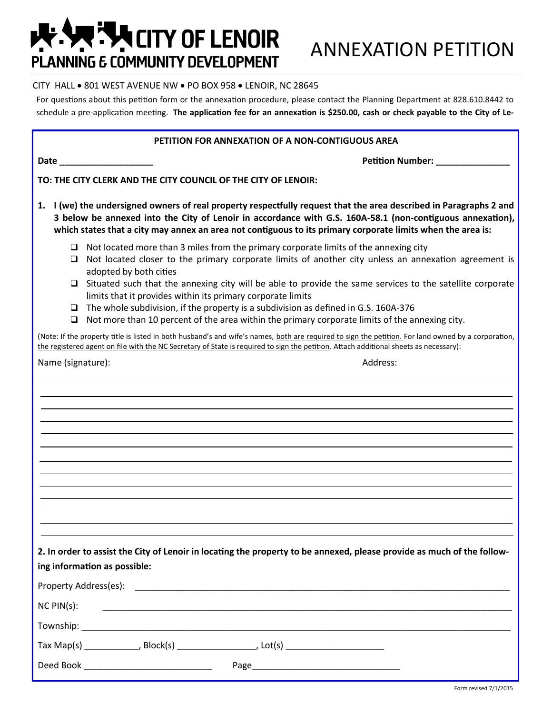## **THE CITY OF LENOIR PLANNING E COMMUNITY DEVELOPMENT**

## CITY HALL . 801 WEST AVENUE NW . PO BOX 958 . LENOIR, NC 28645

For questions about this petition form or the annexation procedure, please contact the Planning Department at 828.610.8442 to schedule a pre-application meeting. **The application fee for an annexation is \$250.00, cash or check payable to the City of Le-**

## **PETITION FOR ANNEXATION OF A NON-CONTIGUOUS AREA**

**Date \_\_\_\_\_\_\_\_\_\_\_\_\_\_\_\_\_\_\_ Petition Number: \_\_\_\_\_\_\_\_\_\_\_\_\_\_\_**

**TO: THE CITY CLERK AND THE CITY COUNCIL OF THE CITY OF LENOIR:**

- **1. I (we) the undersigned owners of real property respectfully request that the area described in Paragraphs 2 and 3 below be annexed into the City of Lenoir in accordance with G.S. 160A-58.1 (non-contiguous annexation), which states that a city may annex an area not contiguous to its primary corporate limits when the area is:**
	- $\Box$  Not located more than 3 miles from the primary corporate limits of the annexing city
	- $\Box$  Not located closer to the primary corporate limits of another city unless an annexation agreement is adopted by both cities
	- $\Box$  Situated such that the annexing city will be able to provide the same services to the satellite corporate limits that it provides within its primary corporate limits
	- $\Box$  The whole subdivision, if the property is a subdivision as defined in G.S. 160A-376
	- $\Box$  Not more than 10 percent of the area within the primary corporate limits of the annexing city.

(Note: If the property title is listed in both husband's and wife's names, both are required to sign the petition. For land owned by a corporation, the registered agent on file with the NC Secretary of State is required to sign the petition. Attach additional sheets as necessary):

Name (signature):  $\blacksquare$ 

**2. In order to assist the City of Lenoir in locating the property to be annexed, please provide as much of the following information as possible:**

| Property Address(es):  |                                                                                                                      |
|------------------------|----------------------------------------------------------------------------------------------------------------------|
| $NC$ $PIN(s)$ :        |                                                                                                                      |
| Township:              | <u> 1980 - Jan Stein Stein Stein Stein Stein Stein Stein Stein Stein Stein Stein Stein Stein Stein Stein Stein S</u> |
| $\mathsf{T}$ ax Map(s) | , Block(s) ______________<br>, Lot(s) ________________________                                                       |
| Deed Book              | Page<br>the control of the control of the control of the                                                             |